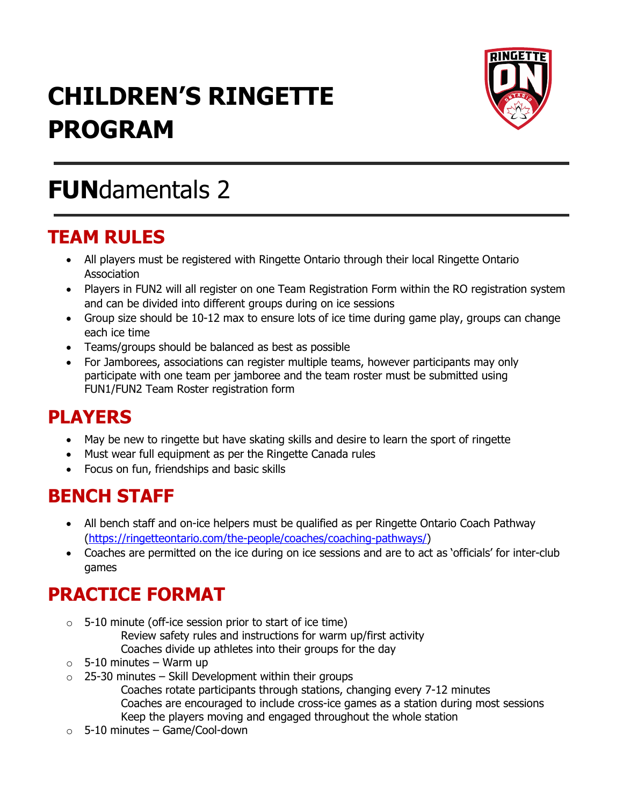# **CHILDREN'S RINGETTE PROGRAM**



## **FUN**damentals 2

#### **TEAM RULES**

- All players must be registered with Ringette Ontario through their local Ringette Ontario Association
- Players in FUN2 will all register on one Team Registration Form within the RO registration system and can be divided into different groups during on ice sessions
- Group size should be 10-12 max to ensure lots of ice time during game play, groups can change each ice time
- Teams/groups should be balanced as best as possible
- For Jamborees, associations can register multiple teams, however participants may only participate with one team per jamboree and the team roster must be submitted using FUN1/FUN2 Team Roster registration form

### **PLAYERS**

- May be new to ringette but have skating skills and desire to learn the sport of ringette
- Must wear full equipment as per the Ringette Canada rules
- Focus on fun, friendships and basic skills

### **BENCH STAFF**

- All bench staff and on-ice helpers must be qualified as per Ringette Ontario Coach Pathway [\(https://ringetteontario.com/the-people/coaches/coaching-pathways/\)](https://ringetteontario.com/the-people/coaches/coaching-pathways/)
- Coaches are permitted on the ice during on ice sessions and are to act as 'officials' for inter-club games

### **PRACTICE FORMAT**

- $\circ$  5-10 minute (off-ice session prior to start of ice time)
	- Review safety rules and instructions for warm up/first activity Coaches divide up athletes into their groups for the day
- $\circ$  5-10 minutes Warm up
- $\circ$  25-30 minutes Skill Development within their groups Coaches rotate participants through stations, changing every 7-12 minutes Coaches are encouraged to include cross-ice games as a station during most sessions Keep the players moving and engaged throughout the whole station
- $\circ$  5-10 minutes Game/Cool-down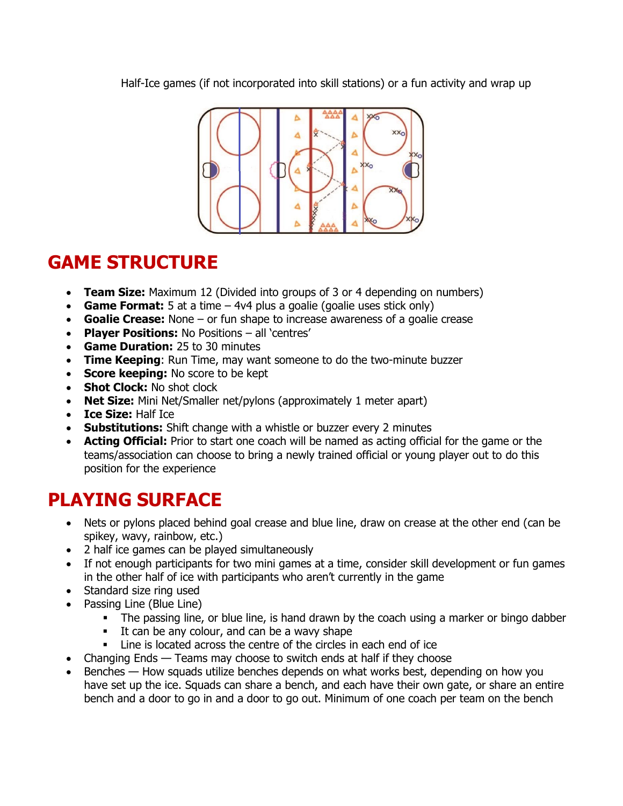Half-Ice games (if not incorporated into skill stations) or a fun activity and wrap up



#### **GAME STRUCTURE**

- **Team Size:** Maximum 12 (Divided into groups of 3 or 4 depending on numbers)
- **Game Format:** 5 at a time 4v4 plus a goalie (goalie uses stick only)
- **Goalie Crease:** None or fun shape to increase awareness of a goalie crease
- **Player Positions:** No Positions all 'centres'
- **Game Duration:** 25 to 30 minutes
- **Time Keeping**: Run Time, may want someone to do the two-minute buzzer
- **Score keeping:** No score to be kept
- **Shot Clock: No shot clock**
- **Net Size:** Mini Net/Smaller net/pylons (approximately 1 meter apart)
- **Ice Size:** Half Ice
- **Substitutions:** Shift change with a whistle or buzzer every 2 minutes
- **Acting Official:** Prior to start one coach will be named as acting official for the game or the teams/association can choose to bring a newly trained official or young player out to do this position for the experience

### **PLAYING SURFACE**

- Nets or pylons placed behind goal crease and blue line, draw on crease at the other end (can be spikey, wavy, rainbow, etc.)
- 2 half ice games can be played simultaneously
- If not enough participants for two mini games at a time, consider skill development or fun games in the other half of ice with participants who aren't currently in the game
- Standard size ring used
- Passing Line (Blue Line)
	- **•** The passing line, or blue line, is hand drawn by the coach using a marker or bingo dabber
	- It can be any colour, and can be a wavy shape
	- **EXEC** Line is located across the centre of the circles in each end of ice
- Changing Ends Teams may choose to switch ends at half if they choose
- Benches How squads utilize benches depends on what works best, depending on how you have set up the ice. Squads can share a bench, and each have their own gate, or share an entire bench and a door to go in and a door to go out. Minimum of one coach per team on the bench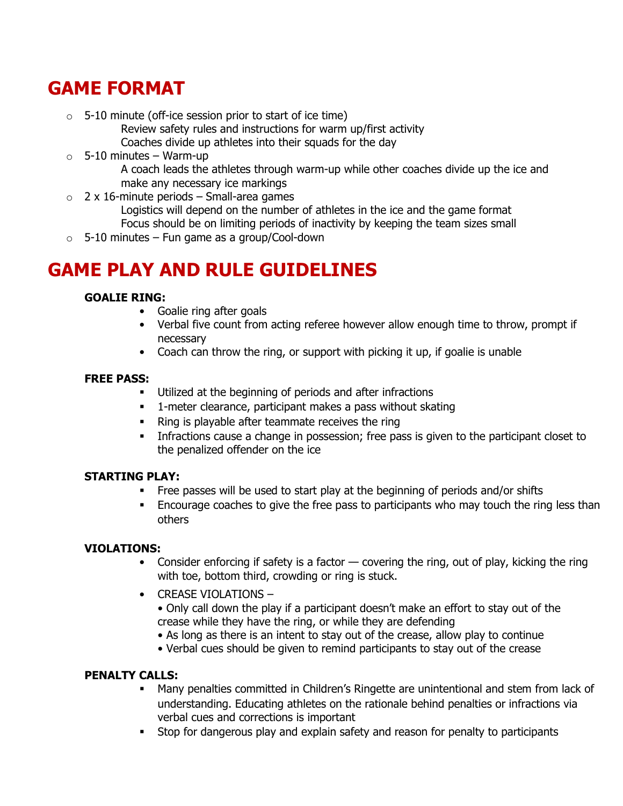### **GAME FORMAT**

- $\circ$  5-10 minute (off-ice session prior to start of ice time)
	- Review safety rules and instructions for warm up/first activity Coaches divide up athletes into their squads for the day
- $\circ$  5-10 minutes Warm-up A coach leads the athletes through warm-up while other coaches divide up the ice and make any necessary ice markings
- $\circ$  2 x 16-minute periods Small-area games
	- Logistics will depend on the number of athletes in the ice and the game format Focus should be on limiting periods of inactivity by keeping the team sizes small
- $\circ$  5-10 minutes Fun game as a group/Cool-down

### **GAME PLAY AND RULE GUIDELINES**

#### **GOALIE RING:**

- Goalie ring after goals
- Verbal five count from acting referee however allow enough time to throw, prompt if necessary
- Coach can throw the ring, or support with picking it up, if goalie is unable

#### **FREE PASS:**

- Utilized at the beginning of periods and after infractions
- **•** 1-meter clearance, participant makes a pass without skating
- Ring is playable after teammate receives the ring
- **·** Infractions cause a change in possession; free pass is given to the participant closet to the penalized offender on the ice

#### **STARTING PLAY:**

- Free passes will be used to start play at the beginning of periods and/or shifts
- Encourage coaches to give the free pass to participants who may touch the ring less than others

#### **VIOLATIONS:**

- Consider enforcing if safety is a factor covering the ring, out of play, kicking the ring with toe, bottom third, crowding or ring is stuck.
- CREASE VIOLATIONS
	- Only call down the play if a participant doesn't make an effort to stay out of the crease while they have the ring, or while they are defending
	- As long as there is an intent to stay out of the crease, allow play to continue
	- Verbal cues should be given to remind participants to stay out of the crease

#### **PENALTY CALLS:**

- Many penalties committed in Children's Ringette are unintentional and stem from lack of understanding. Educating athletes on the rationale behind penalties or infractions via verbal cues and corrections is important
- **EXECT** Stop for dangerous play and explain safety and reason for penalty to participants